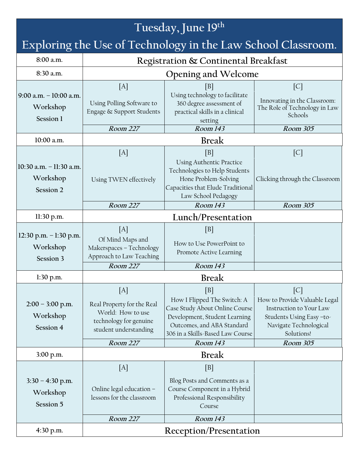#### **Tuesday, June 19 th Exploring the Use of Technology in the Law School Classroom. 8:00 a.m. Registration & Continental Breakfast 8:30 a.m. Opening and Welcome 9:00 a.m. – 10:00 a.m. Workshop Session 1**  $[A]$   $[B]$   $[C]$ Using Polling Software to Engage & Support Students Using technology to facilitate 360 degree assessment of practical skills in a clinical setting Innovating in the Classroom: The Role of Technology in Law Schools **Room 227 Room 143 Room 305 10:00 a.m. Break 10:30 a.m. – 11:30 a.m. Workshop Session 2**  $[A]$   $[B]$   $[C]$ Using TWEN effectively Using Authentic Practice Technologies to Help Students Hone Problem-Solving Capacities that Elude Traditional Law School Pedagogy Clicking through the Classroom **Room 227 Room 143 Room 305 11:30 p.m. Lunch/Presentation 12:30 p.m. – 1:30 p.m. Workshop Session 3**  $[A]$  [B]  $[B]$ Of Mind Maps and Makerspaces – Technology Approach to Law Teaching How to Use PowerPoint to Promote Active Learning **Room 227 Room 143 1:30 p.m. Break 2:00 – 3:00 p.m. Workshop Session 4**  $[A]$   $[B]$   $[C]$ Real Property for the Real World: How to use technology for genuine student understanding How I Flipped The Switch: A Case Study About Online Course Development, Student Learning Outcomes, and ABA Standard 306 in a Skills-Based Law Course How to Provide Valuable Legal Instruction to Your Law Students Using Easy –to-Navigate Technological **Solutions! Room 227 Room 143 Room 305 3:00 p.m. Break 3:30 – 4:30 p.m. Workshop Session 5**  $[A]$  [B]  $[B]$ Online legal education – lessons for the classroom Blog Posts and Comments as a Course Component in a Hybrid Professional Responsibility Course **Room 227 Room 143 4:30 p.m. Reception/Presentation**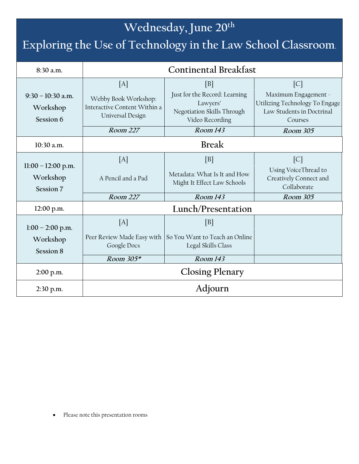# **Wednesday, June 20th**

# **Exploring the Use of Technology in the Law School Classroom.**

| 8:30 a.m.                                     | <b>Continental Breakfast</b>                                                                |                                                                                                              |                                                                                                                                 |
|-----------------------------------------------|---------------------------------------------------------------------------------------------|--------------------------------------------------------------------------------------------------------------|---------------------------------------------------------------------------------------------------------------------------------|
| $9:30 - 10:30$ a.m.<br>Workshop<br>Session 6  | [A]<br>Webby Book Workshop:<br>Interactive Content Within a<br>Universal Design<br>Room 227 | B <br>Just for the Record: Learning<br>Lawyers'<br>Negotiation Skills Through<br>Video Recording<br>Room 143 | $\lceil C \rceil$<br>Maximum Engagement -<br>Utilizing Technology To Engage<br>Law Students in Doctrinal<br>Courses<br>Room 305 |
| 10:30 a.m.                                    | <b>Break</b>                                                                                |                                                                                                              |                                                                                                                                 |
|                                               |                                                                                             |                                                                                                              |                                                                                                                                 |
| $11:00 - 12:00$ p.m.<br>Workshop<br>Session 7 | [A]<br>A Pencil and a Pad                                                                   | [B]<br>Metadata: What Is It and How<br>Might It Effect Law Schools                                           | $\lceil C \rceil$<br>Using VoiceThread to<br>Creatively Connect and<br>Collaborate                                              |
|                                               | Room 227                                                                                    | Room 143                                                                                                     | Room 305                                                                                                                        |
| 12:00 p.m.                                    | Lunch/Presentation                                                                          |                                                                                                              |                                                                                                                                 |
| $1:00 - 2:00$ p.m.<br>Workshop<br>Session 8   | [A]<br>Peer Review Made Easy with<br>Google Docs<br>Room $305*$                             | [B]<br>So You Want to Teach an Online<br>Legal Skills Class<br>Room 143                                      |                                                                                                                                 |
| $2:00$ p.m.                                   | <b>Closing Plenary</b>                                                                      |                                                                                                              |                                                                                                                                 |
|                                               |                                                                                             |                                                                                                              |                                                                                                                                 |
| $2:30$ p.m.                                   | Adjourn                                                                                     |                                                                                                              |                                                                                                                                 |

Please note this presentation rooms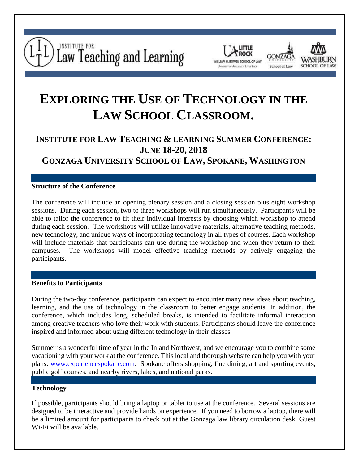





# **EXPLORING THE USE OF TECHNOLOGY IN THE LAW SCHOOL CLASSROOM.**

# **INSTITUTE FOR LAW TEACHING & LEARNING SUMMER CONFERENCE: JUNE 18-20, 2018**

**GONZAGA UNIVERSITY SCHOOL OF LAW, SPOKANE, WASHINGTON**

#### **Structure of the Conference**

The conference will include an opening plenary session and a closing session plus eight workshop sessions. During each session, two to three workshops will run simultaneously. Participants will be able to tailor the conference to fit their individual interests by choosing which workshop to attend during each session. The workshops will utilize innovative materials, alternative teaching methods, new technology, and unique ways of incorporating technology in all types of courses. Each workshop will include materials that participants can use during the workshop and when they return to their campuses. The workshops will model effective teaching methods by actively engaging the participants.

#### **Benefits to Participants**

During the two-day conference, participants can expect to encounter many new ideas about teaching, learning, and the use of technology in the classroom to better engage students. In addition, the conference, which includes long, scheduled breaks, is intended to facilitate informal interaction among creative teachers who love their work with students. Participants should leave the conference inspired and informed about using different technology in their classes.

Summer is a wonderful time of year in the Inland Northwest, and we encourage you to combine some vacationing with your work at the conference. This local and thorough website can help you with your plans: [www.experiencespokane.com.](http://www.experiencespokane.com/) Spokane offers shopping, fine dining, art and sporting events, public golf courses, and nearby rivers, lakes, and national parks.

# **Technology**

If possible, participants should bring a laptop or tablet to use at the conference. Several sessions are designed to be interactive and provide hands on experience. If you need to borrow a laptop, there will be a limited amount for participants to check out at the Gonzaga law library circulation desk. Guest Wi-Fi will be available.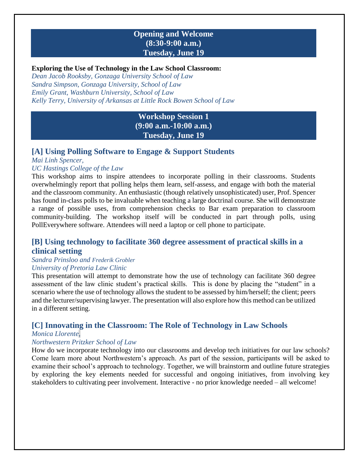# **Opening and Welcome (8:30-9:00 a.m.) Tuesday, June 19**

#### **Exploring the Use of Technology in the Law School Classroom:**

*Dean Jacob Rooksby, Gonzaga University School of Law Sandra Simpson, Gonzaga University, School of Law Emily Grant, Washburn University, School of Law Kelly Terry, University of Arkansas at Little Rock Bowen School of Law*

# **Workshop Session 1 (9:00 a.m.-10:00 a.m.) Tuesday, June 19**

# **[A] Using Polling Software to Engage & Support Students**

*Mai Linh Spencer, UC Hastings College of the Law*

This workshop aims to inspire attendees to incorporate polling in their classrooms. Students overwhelmingly report that polling helps them learn, self-assess, and engage with both the material and the classroom community. An enthusiastic (though relatively unsophisticated) user, Prof. Spencer has found in-class polls to be invaluable when teaching a large doctrinal course. She will demonstrate a range of possible uses, from comprehension checks to Bar exam preparation to classroom community-building. The workshop itself will be conducted in part through polls, using PollEverywhere software. Attendees will need a laptop or cell phone to participate.

# **[B] Using technology to facilitate 360 degree assessment of practical skills in a clinical setting**

#### *Sandra Prinsloo and Frederik Grobler University of Pretoria Law Clinic*

### This presentation will attempt to demonstrate how the use of technology can facilitate 360 degree assessment of the law clinic student's practical skills. This is done by placing the "student" in a scenario where the use of technology allows the student to be assessed by him/herself; the client; peers and the lecturer/supervising lawyer. The presentation will also explore how this method can be utilized

in a different setting.

# **[C] Innovating in the Classroom: The Role of Technology in Law Schools**

#### *Monica Llorente,*

#### *Northwestern Pritzker School of Law*

How do we incorporate technology into our classrooms and develop tech initiatives for our law schools? Come learn more about Northwestern's approach. As part of the session, participants will be asked to examine their school's approach to technology. Together, we will brainstorm and outline future strategies by exploring the key elements needed for successful and ongoing initiatives, from involving key stakeholders to cultivating peer involvement. Interactive - no prior knowledge needed – all welcome!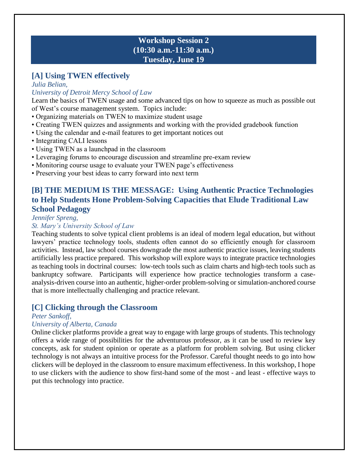# **Workshop Session 2 (10:30 a.m.-11:30 a.m.) Tuesday, June 19**

# **[A] Using TWEN effectively**

*Julia Belian,*

#### *University of Detroit Mercy School of Law*

Learn the basics of TWEN usage and some advanced tips on how to squeeze as much as possible out of West's course management system. Topics include:

- Organizing materials on TWEN to maximize student usage
- Creating TWEN quizzes and assignments and working with the provided gradebook function
- Using the calendar and e-mail features to get important notices out
- Integrating CALI lessons
- Using TWEN as a launchpad in the classroom
- Leveraging forums to encourage discussion and streamline pre-exam review
- Monitoring course usage to evaluate your TWEN page's effectiveness
- Preserving your best ideas to carry forward into next term

# **[B] THE MEDIUM IS THE MESSAGE: Using Authentic Practice Technologies to Help Students Hone Problem-Solving Capacities that Elude Traditional Law School Pedagogy**

*Jennifer Spreng,*

#### *St. Mary's University School of Law*

Teaching students to solve typical client problems is an ideal of modern legal education, but without lawyers' practice technology tools, students often cannot do so efficiently enough for classroom activities. Instead, law school courses downgrade the most authentic practice issues, leaving students artificially less practice prepared. This workshop will explore ways to integrate practice technologies as teaching tools in doctrinal courses: low-tech tools such as claim charts and high-tech tools such as bankruptcy software. Participants will experience how practice technologies transform a caseanalysis-driven course into an authentic, higher-order problem-solving or simulation-anchored course that is more intellectually challenging and practice relevant.

# **[C] Clicking through the Classroom**

#### *Peter Sankoff,*

#### *University of Alberta, Canada*

Online clicker platforms provide a great way to engage with large groups of students. This technology offers a wide range of possibilities for the adventurous professor, as it can be used to review key concepts, ask for student opinion or operate as a platform for problem solving. But using clicker technology is not always an intuitive process for the Professor. Careful thought needs to go into how clickers will be deployed in the classroom to ensure maximum effectiveness. In this workshop, I hope to use clickers with the audience to show first-hand some of the most - and least - effective ways to put this technology into practice.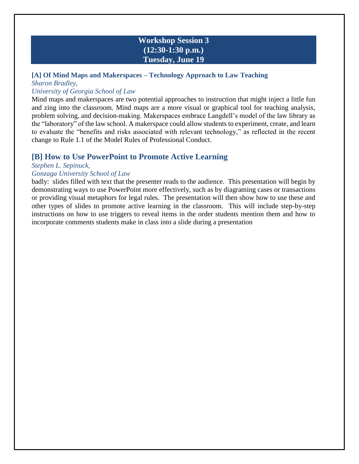# **Workshop Session 3 (12:30-1:30 p.m.) Tuesday, June 19**

# **[A] Of Mind Maps and Makerspaces – Technology Approach to Law Teaching** *Sharon Bradley,*

#### *University of Georgia School of Law*

Mind maps and makerspaces are two potential approaches to instruction that might inject a little fun and zing into the classroom. Mind maps are a more visual or graphical tool for teaching analysis, problem solving, and decision-making. Makerspaces embrace Langdell's model of the law library as the "laboratory" of the law school. A makerspace could allow students to experiment, create, and learn to evaluate the "benefits and risks associated with relevant technology," as reflected in the recent change to Rule 1.1 of the Model Rules of Professional Conduct.

# **[B] How to Use PowerPoint to Promote Active Learning**

#### *Stephen L. Sepinuck,*

#### *Gonzaga University School of Law*

badly: slides filled with text that the presenter reads to the audience. This presentation will begin by demonstrating ways to use PowerPoint more effectively, such as by diagraming cases or transactions or providing visual metaphors for legal rules. The presentation will then show how to use these and other types of slides to promote active learning in the classroom. This will include step-by-step instructions on how to use triggers to reveal items in the order students mention them and how to incorporate comments students make in class into a slide during a presentation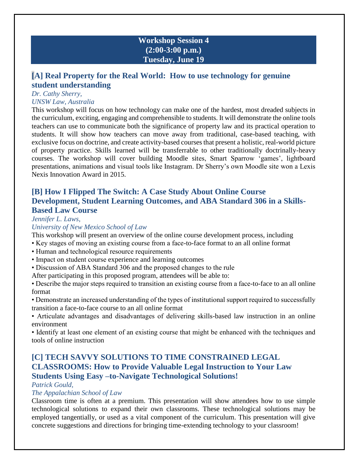# **Workshop Session 4 (2:00-3:00 p.m.) Tuesday, June 19**

# **[A] Real Property for the Real World: How to use technology for genuine student understanding**

# *Dr. Cathy Sherry,*

#### *UNSW Law, Australia*

This workshop will focus on how technology can make one of the hardest, most dreaded subjects in the curriculum, exciting, engaging and comprehensible to students. It will demonstrate the online tools teachers can use to communicate both the significance of property law and its practical operation to students. It will show how teachers can move away from traditional, case-based teaching, with exclusive focus on doctrine, and create activity-based courses that present a holistic, real-world picture of property practice. Skills learned will be transferrable to other traditionally doctrinally-heavy courses. The workshop will cover building Moodle sites, Smart Sparrow 'games', lightboard presentations, animations and visual tools like Instagram. Dr Sherry's own Moodle site won a Lexis Nexis Innovation Award in 2015.

# **[B] How I Flipped The Switch: A Case Study About Online Course Development, Student Learning Outcomes, and ABA Standard 306 in a Skills-Based Law Course**

### *Jennifer L. Laws,*

### *University of New Mexico School of Law*

This workshop will present an overview of the online course development process, including

- Key stages of moving an existing course from a face-to-face format to an all online format
- Human and technological resource requirements
- Impact on student course experience and learning outcomes
- Discussion of ABA Standard 306 and the proposed changes to the rule
- After participating in this proposed program, attendees will be able to:
- Describe the major steps required to transition an existing course from a face-to-face to an all online format
- Demonstrate an increased understanding of the types of institutional support required to successfully transition a face-to-face course to an all online format
- Articulate advantages and disadvantages of delivering skills-based law instruction in an online environment

• Identify at least one element of an existing course that might be enhanced with the techniques and tools of online instruction

# **[C] TECH SAVVY SOLUTIONS TO TIME CONSTRAINED LEGAL CLASSROOMS: How to Provide Valuable Legal Instruction to Your Law Students Using Easy –to-Navigate Technological Solutions!**

# *Patrick Gould,*

#### *The Appalachian School of Law*

Classroom time is often at a premium. This presentation will show attendees how to use simple technological solutions to expand their own classrooms. These technological solutions may be employed tangentially, or used as a vital component of the curriculum. This presentation will give concrete suggestions and directions for bringing time-extending technology to your classroom!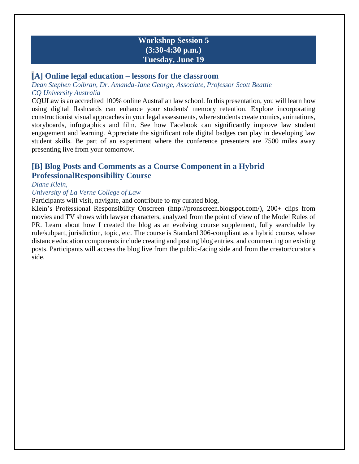# **Workshop Session 5 (3:30-4:30 p.m.) Tuesday, June 19**

#### **[A] Online legal education – lessons for the classroom**

*Dean Stephen Colbran, Dr. Amanda-Jane George, Associate, Professor Scott Beattie CQ University Australia*

CQULaw is an accredited 100% online Australian law school. In this presentation, you will learn how using digital flashcards can enhance your students' memory retention. Explore incorporating constructionist visual approaches in your legal assessments, where students create comics, animations, storyboards, infographics and film. See how Facebook can significantly improve law student engagement and learning. Appreciate the significant role digital badges can play in developing law student skills. Be part of an experiment where the conference presenters are 7500 miles away presenting live from your tomorrow.

# **[B] Blog Posts and Comments as a Course Component in a Hybrid ProfessionalResponsibility Course**

#### *Diane Klein,*

#### *University of La Verne College of Law*

Participants will visit, navigate, and contribute to my curated blog,

Klein's Professional Responsibility Onscreen (http://pronscreen.blogspot.com/), 200+ clips from movies and TV shows with lawyer characters, analyzed from the point of view of the Model Rules of PR. Learn about how I created the blog as an evolving course supplement, fully searchable by rule/subpart, jurisdiction, topic, etc. The course is Standard 306-compliant as a hybrid course, whose distance education components include creating and posting blog entries, and commenting on existing posts. Participants will access the blog live from the public-facing side and from the creator/curator's side.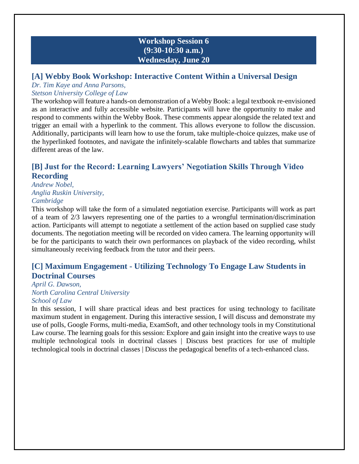# **Workshop Session 6 (9:30-10:30 a.m.) Wednesday, June 20**

# **[A] Webby Book Workshop: Interactive Content Within a Universal Design**

# *Dr. Tim Kaye and Anna Parsons,*

#### *Stetson University College of Law*

The workshop will feature a hands-on demonstration of a Webby Book: a legal textbook re-envisioned as an interactive and fully accessible website. Participants will have the opportunity to make and respond to comments within the Webby Book. These comments appear alongside the related text and trigger an email with a hyperlink to the comment. This allows everyone to follow the discussion. Additionally, participants will learn how to use the forum, take multiple-choice quizzes, make use of the hyperlinked footnotes, and navigate the infinitely-scalable flowcharts and tables that summarize different areas of the law.

# **[B] Just for the Record: Learning Lawyers' Negotiation Skills Through Video Recording**

*Andrew Nobel, Anglia Ruskin University, Cambridge*

This workshop will take the form of a simulated negotiation exercise. Participants will work as part of a team of 2/3 lawyers representing one of the parties to a wrongful termination/discrimination action. Participants will attempt to negotiate a settlement of the action based on supplied case study documents. The negotiation meeting will be recorded on video camera. The learning opportunity will be for the participants to watch their own performances on playback of the video recording, whilst simultaneously receiving feedback from the tutor and their peers.

# **[C] Maximum Engagement - Utilizing Technology To Engage Law Students in Doctrinal Courses**

#### *April G. Dawson, North Carolina Central University School of Law*

In this session, I will share practical ideas and best practices for using technology to facilitate maximum student in engagement. During this interactive session, I will discuss and demonstrate my use of polls, Google Forms, multi-media, ExamSoft, and other technology tools in my Constitutional Law course. The learning goals for this session: Explore and gain insight into the creative ways to use multiple technological tools in doctrinal classes | Discuss best practices for use of multiple technological tools in doctrinal classes | Discuss the pedagogical benefits of a tech-enhanced class.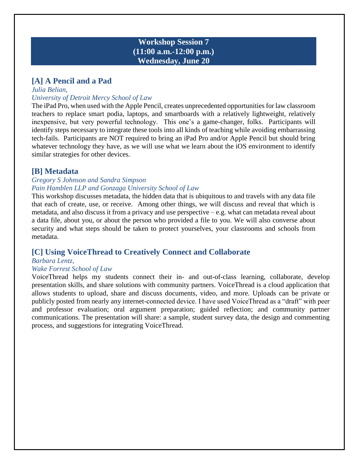# **Workshop Session 7 (11:00 a.m.-12:00 p.m.) Wednesday, June 20**

# **[A] A Pencil and a Pad**

#### *Julia Belian, University of Detroit Mercy School of Law*

The iPad Pro, when used with the Apple Pencil, creates unprecedented opportunities for law classroom teachers to replace smart podia, laptops, and smartboards with a relatively lightweight, relatively inexpensive, but very powerful technology. This one's a game-changer, folks. Participants will identify steps necessary to integrate these tools into all kinds of teaching while avoiding embarrassing tech-fails. Participants are NOT required to bring an iPad Pro and/or Apple Pencil but should bring whatever technology they have, as we will use what we learn about the iOS environment to identify similar strategies for other devices.

# **[B] Metadata**

#### *Gregory S Johnson and Sandra Simpson Pain Hamblen LLP and Gonzaga University School of Law*

This workshop discusses metadata, the hidden data that is ubiquitous to and travels with any data file that each of create, use, or receive. Among other things, we will discuss and reveal that which is metadata, and also discuss it from a privacy and use perspective – e.g. what can metadata reveal about a data file, about you, or about the person who provided a file to you. We will also converse about security and what steps should be taken to protect yourselves, your classrooms and schools from metadata.

# **[C] Using VoiceThread to Creatively Connect and Collaborate**

#### *Barbara Lentz,*

#### *Wake Forrest School of Law*

VoiceThread helps my students connect their in- and out-of-class learning, collaborate, develop presentation skills, and share solutions with community partners. VoiceThread is a cloud application that allows students to upload, share and discuss documents, video, and more. Uploads can be private or publicly posted from nearly any internet-connected device. I have used VoiceThread as a "draft" with peer and professor evaluation; oral argument preparation; guided reflection; and community partner communications. The presentation will share: a sample, student survey data, the design and commenting process, and suggestions for integrating VoiceThread.